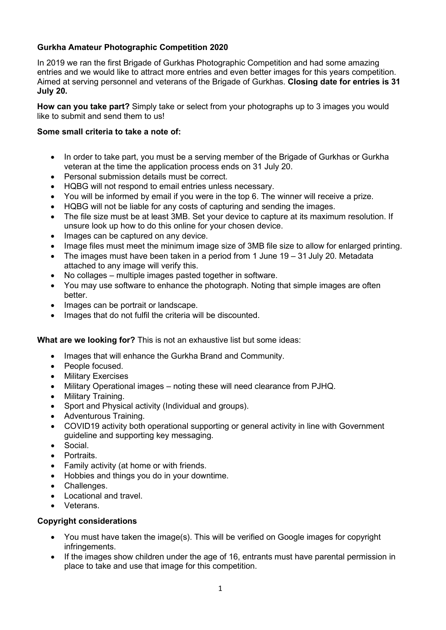# **Gurkha Amateur Photographic Competition 2020**

In 2019 we ran the first Brigade of Gurkhas Photographic Competition and had some amazing entries and we would like to attract more entries and even better images for this years competition. Aimed at serving personnel and veterans of the Brigade of Gurkhas. **Closing date for entries is 31 July 20.**

**How can you take part?** Simply take or select from your photographs up to 3 images you would like to submit and send them to us!

## **Some small criteria to take a note of:**

- In order to take part, you must be a serving member of the Brigade of Gurkhas or Gurkha veteran at the time the application process ends on 31 July 20.
- Personal submission details must be correct.
- HQBG will not respond to email entries unless necessary.
- You will be informed by email if you were in the top 6. The winner will receive a prize.
- HQBG will not be liable for any costs of capturing and sending the images.
- The file size must be at least 3MB. Set your device to capture at its maximum resolution. If unsure look up how to do this online for your chosen device.
- Images can be captured on any device.
- Image files must meet the minimum image size of 3MB file size to allow for enlarged printing.
- The images must have been taken in a period from 1 June  $19 31$  July 20. Metadata attached to any image will verify this.
- No collages multiple images pasted together in software.
- You may use software to enhance the photograph. Noting that simple images are often better.
- Images can be portrait or landscape.
- Images that do not fulfil the criteria will be discounted.

### **What are we looking for?** This is not an exhaustive list but some ideas:

- Images that will enhance the Gurkha Brand and Community.
- People focused.
- Military Exercises
- Military Operational images noting these will need clearance from PJHQ.
- Military Training.
- Sport and Physical activity (Individual and groups).
- Adventurous Training.
- COVID19 activity both operational supporting or general activity in line with Government guideline and supporting key messaging.
- Social.
- Portraits.
- Family activity (at home or with friends.
- Hobbies and things you do in your downtime.
- Challenges.
- Locational and travel.
- Veterans.

### **Copyright considerations**

- You must have taken the image(s). This will be verified on Google images for copyright infringements.
- If the images show children under the age of 16, entrants must have parental permission in place to take and use that image for this competition.